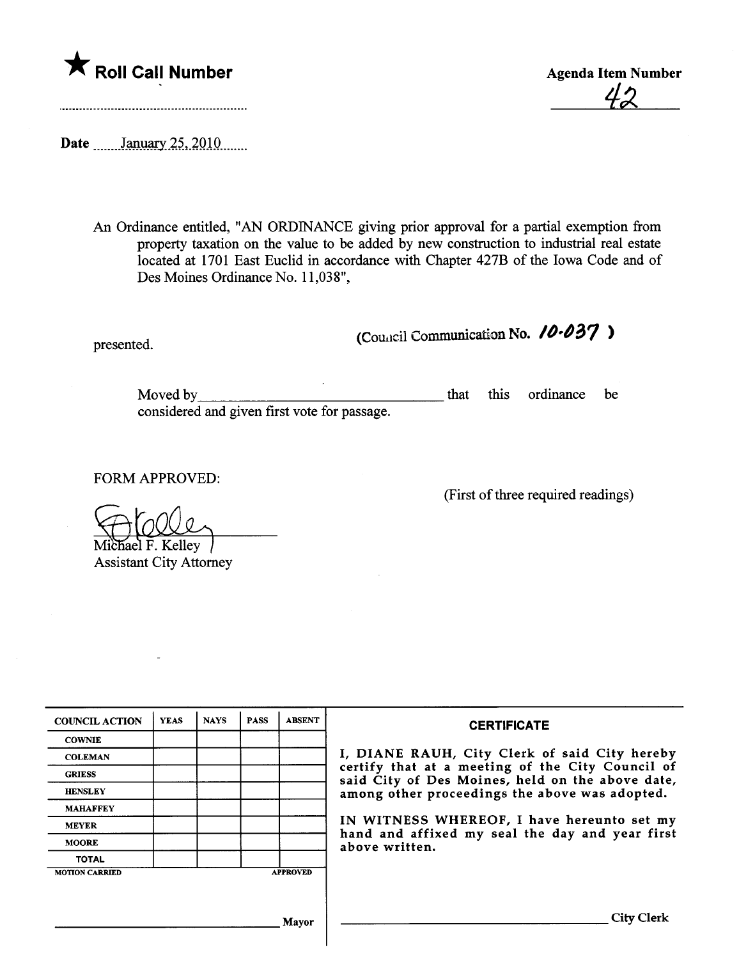

<u>42</u>

Date \_\_\_\_\_\_January 25, 2010 \_\_\_\_\_

An Ordinance entitled, "AN ORDINANCE giving prior approval for a partial exemption from property taxation on the value to be added by new construction to industrial real estate located at 1701 East Euclid in accordance with Chapter 427B of the Iowa Code and of Des Moines Ordinance No. 11,038",

presented.  $\qquad \qquad \text{(Coulcil Communication No. } \textbf{10.037)}$ 

Moved by considered and given first vote for passage. that this ordinance be

FORM APPROVED:

(First of thee required readings)

 $\overline{\text{chael F.} }$  Kelley

**Assistant City Attorney** 

| <b>COUNCIL ACTION</b>                    | <b>YEAS</b> | <b>NAYS</b> | <b>PASS</b> | <b>ABSENT</b> | <b>CERTIFICATE</b>                                                                                                                                                                                                                                                                                                         |
|------------------------------------------|-------------|-------------|-------------|---------------|----------------------------------------------------------------------------------------------------------------------------------------------------------------------------------------------------------------------------------------------------------------------------------------------------------------------------|
| <b>COWNIE</b>                            |             |             |             |               | I, DIANE RAUH, City Clerk of said City hereby<br>certify that at a meeting of the City Council of<br>said City of Des Moines, held on the above date,<br>among other proceedings the above was adopted.<br>IN WITNESS WHEREOF, I have hereunto set my<br>hand and affixed my seal the day and year first<br>above written. |
| <b>COLEMAN</b>                           |             |             |             |               |                                                                                                                                                                                                                                                                                                                            |
| <b>GRIESS</b>                            |             |             |             |               |                                                                                                                                                                                                                                                                                                                            |
| <b>HENSLEY</b>                           |             |             |             |               |                                                                                                                                                                                                                                                                                                                            |
| <b>MAHAFFEY</b>                          |             |             |             |               |                                                                                                                                                                                                                                                                                                                            |
| <b>MEYER</b>                             |             |             |             |               |                                                                                                                                                                                                                                                                                                                            |
| <b>MOORE</b>                             |             |             |             |               |                                                                                                                                                                                                                                                                                                                            |
| <b>TOTAL</b>                             |             |             |             |               |                                                                                                                                                                                                                                                                                                                            |
| <b>APPROVED</b><br><b>MOTION CARRIED</b> |             |             |             |               |                                                                                                                                                                                                                                                                                                                            |
|                                          |             |             |             |               |                                                                                                                                                                                                                                                                                                                            |
|                                          |             |             |             |               |                                                                                                                                                                                                                                                                                                                            |
| Mavor                                    |             |             |             |               | <b>City Clerk</b>                                                                                                                                                                                                                                                                                                          |
|                                          |             |             |             |               |                                                                                                                                                                                                                                                                                                                            |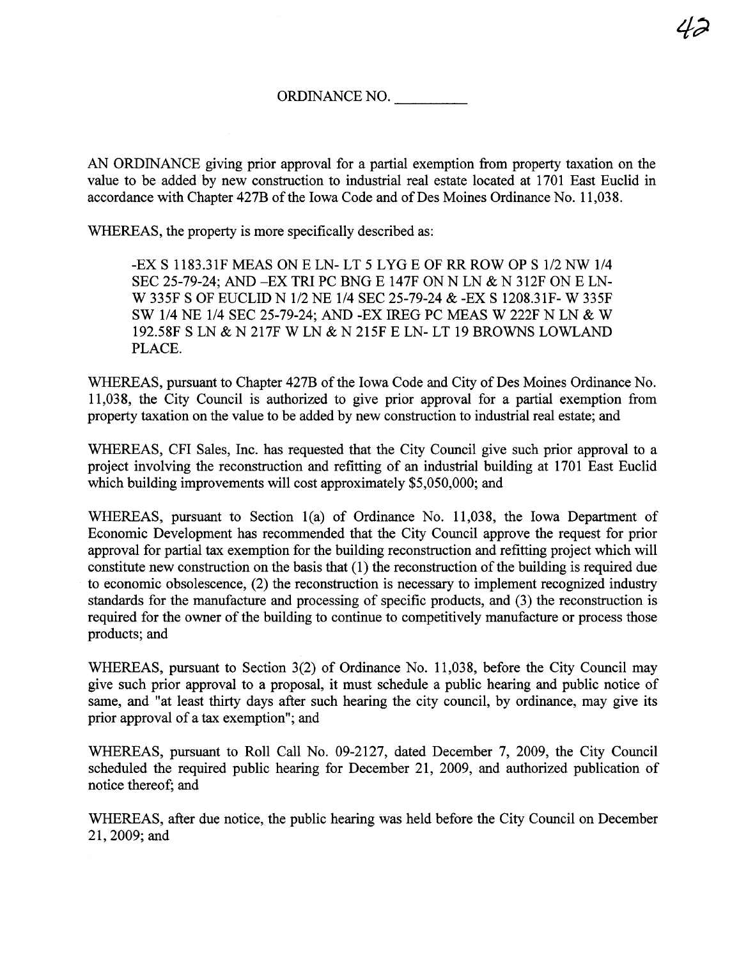AN ORDINANCE giving prior approval for a partial exemption from property taxation on the value to be added by new construction to industrial real estate located at 1701 East Euclid in accordance with Chapter 427B of the Iowa Code and of Des Moines Ordinance No. 11,038.

WHEREAS, the property is more specifically described as:

-EX S 1183.31F MEAS ON E LN- LT 5 LYG E OF RR ROW OP S 1/2 NW 1/4 SEC 25-79-24; AND -EX TRI PC BNG E 147F ON N LN & N 312F ON E LN-W 335F S OF EUCLID N 1/2 NE 1/4 SEC 25-79-24 & -EX S 1208.31F- W 335F SW 1/4 NE 1/4 SEC 25-79-24; AND -EX IREG PC MEAS W 222F N LN & W 192.58F S LN & N 217F W LN & N 215F E LN- LT 19 BROWNS LOWLAND PLACE.

WHEREAS, pursuant to Chapter 427B of the Iowa Code and City of Des Moines Ordinance No. 11,038, the City Council is authorized to give prior approval for a partial exemption from property taxation on the value to be added by new construction to industrial real estate; and

WHEREAS, CFI Sales, Inc. has requested that the City Council give such prior approval to a project involving the reconstruction and refitting of an industrial building at 1701 East Euclid which building improvements will cost approximately \$5,050,000; and

WHEREAS, pursuant to Section 1(a) of Ordinance No. 11,038, the Iowa Department of Economic Development has recommended that the City Council approve the request for prior approval for partial tax exemption for the building reconstruction and refitting project which will constitute new construction on the basis that  $(1)$  the reconstruction of the building is required due to economic obsolescence,  $(2)$  the reconstruction is necessary to implement recognized industry standards for the manufacture and processing of specific products, and (3) the reconstruction is required for the owner of the building to continue to competitively manufacture or process those products; and

WHEREAS, pursuant to Section 3(2) of Ordinance No. 11,038, before the City Council may give such prior approval to a proposal, it must schedule a public heanng and public notice of same, and "at least thirty days after such hearing the city council, by ordinance, may give its prior approval of a tax exemption"; and

WHEREAS, pursuant to Roll Call No. 09-2127, dated December 7, 2009, the City Council scheduled the required public hearing for December 21, 2009, and authorized publication of notice thereof; and

WHEREAS, after due notice, the public hearing was held before the City Council on December 21, 2009; and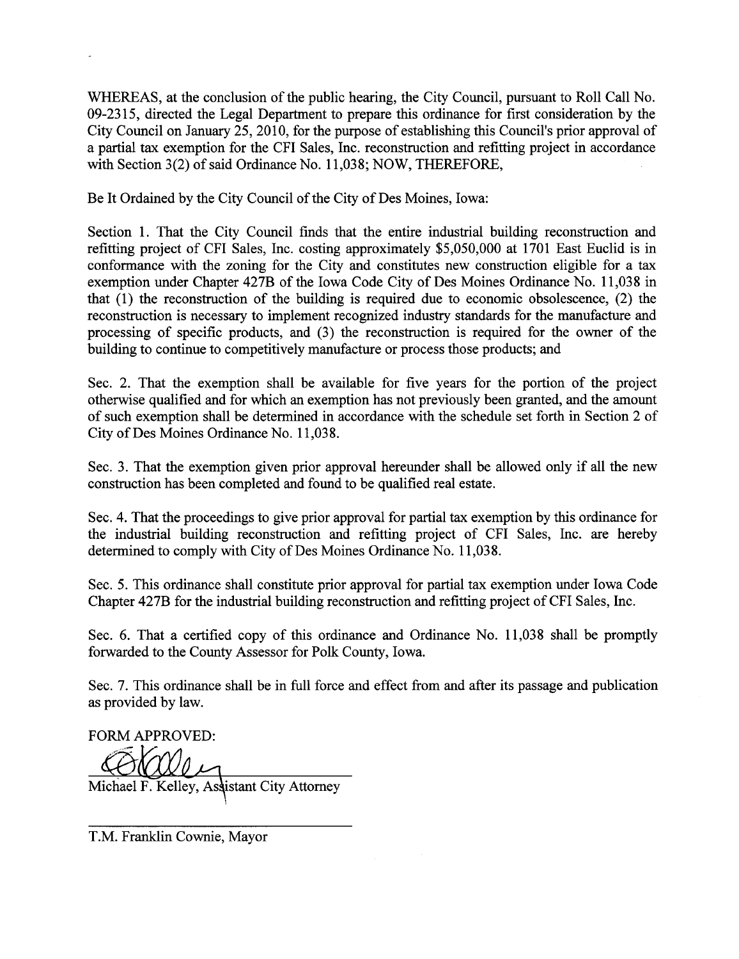WHEREAS, at the conclusion of the public hearing, the City Council, pursuant to Roll Call No. 09-2315, directed the Legal Deparment to prepare ths ordinance for first consideration by the City Council on January 25, 2010, for the purpose of establishing this Council's prior approval of a partial tax exemption for the CFI Sales, Inc. reconstruction and refitting project in accordance with Section 3(2) of said Ordinance No. 11,038; NOW, THEREFORE,

Be It Ordained by the City Council of the City of Des Moines, Iowa:

Section 1. That the City Council finds that the entire industrial building reconstruction and refitting project of CFI Sales, Inc. costing approximately \$5,050,000 at 1701 East Euclid is in conformance with the zoning for the City and constitutes new construction eligible for a tax exemption under Chapter 427B of the Iowa Code City of Des Moines Ordinance No. 11,038 in that  $(1)$  the reconstruction of the building is required due to economic obsolescence,  $(2)$  the reconstruction is necessary to implement recognized industry standards for the manufacture and processing of specific products, and  $(3)$  the reconstruction is required for the owner of the building to continue to competitively manufacture or process those products; and

Sec. 2. That the exemption shall be available for five years for the portion of the project otherwise qualified and for which an exemption has not previously been granted, and the amount of such exemption shall be determined in accordance with the schedule set forth in Section 2 of City of Des Moines Ordinance No. 11,038.

Sec. 3. That the exemption given prior approval hereunder shall be allowed only if all the new construction has been completed and found to be qualified real estate.

Sec. 4. That the proceedings to give prior approval for partial tax exemption by this ordinance for the industrial building reconstruction and refitting project of CFI Sales, Inc. are hereby determined to comply with City of Des Moines Ordinance No. 11,038.

Sec. 5. This ordinance shall constitute prior approval for partial tax exemption under Iowa Code Chapter 427B for the industrial building reconstruction and refitting project of CFI Sales, Inc.

Sec. 6. That a certified copy of this ordinance and Ordinance No. 11,038 shall be promptly forwarded to the County Assessor for Polk County, Iowa.

Sec. 7. This ordinance shall be in full force and effect from and after its passage and publication as provided by law.

FORM APPROVED:

Michael F. Kelley, Assistant City Attorney

T.M. Franklin Cownie, Mayor